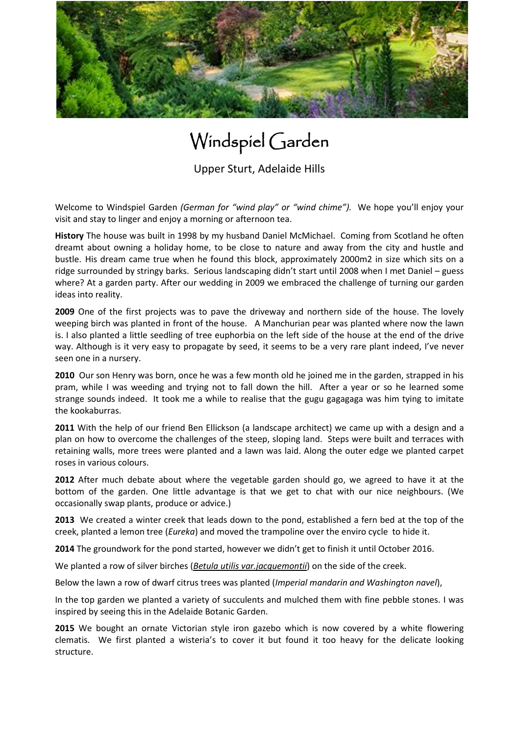

## Windspiel Garden

Upper Sturt, Adelaide Hills

Welcome to Windspiel Garden *(German for "wind play" or "wind chime").* We hope you'll enjoy your visit and stay to linger and enjoy a morning or afternoon tea.

**History** The house was built in 1998 by my husband Daniel McMichael. Coming from Scotland he often dreamt about owning a holiday home, to be close to nature and away from the city and hustle and bustle. His dream came true when he found this block, approximately 2000m2 in size which sits on a ridge surrounded by stringy barks. Serious landscaping didn't start until 2008 when I met Daniel – guess where? At a garden party. After our wedding in 2009 we embraced the challenge of turning our garden ideas into reality.

**2009** One of the first projects was to pave the driveway and northern side of the house. The lovely weeping birch was planted in front of the house. A Manchurian pear was planted where now the lawn is. I also planted a little seedling of tree euphorbia on the left side of the house at the end of the drive way. Although is it very easy to propagate by seed, it seems to be a very rare plant indeed, I've never seen one in a nursery.

**2010** Our son Henry was born, once he was a few month old he joined me in the garden, strapped in his pram, while I was weeding and trying not to fall down the hill. After a year or so he learned some strange sounds indeed. It took me a while to realise that the gugu gagagaga was him tying to imitate the kookaburras.

**2011** With the help of our friend Ben Ellickson (a landscape architect) we came up with a design and a plan on how to overcome the challenges of the steep, sloping land. Steps were built and terraces with retaining walls, more trees were planted and a lawn was laid. Along the outer edge we planted carpet roses in various colours.

**2012** After much debate about where the vegetable garden should go, we agreed to have it at the bottom of the garden. One little advantage is that we get to chat with our nice neighbours. (We occasionally swap plants, produce or advice.)

**2013** We created a winter creek that leads down to the pond, established a fern bed at the top of the creek, planted a lemon tree (*Eureka*) and moved the trampoline over the enviro cycle to hide it.

**2014** The groundwork for the pond started, however we didn't get to finish it until October 2016.

We planted a row of silver birches (*Betula utilis var.jacquemontii*) on the side of the creek.

Below the lawn a row of dwarf citrus trees was planted (*Imperial mandarin and Washington navel*),

In the top garden we planted a variety of succulents and mulched them with fine pebble stones. I was inspired by seeing this in the Adelaide Botanic Garden.

**2015** We bought an ornate Victorian style iron gazebo which is now covered by a white flowering clematis. We first planted a wisteria's to cover it but found it too heavy for the delicate looking structure.